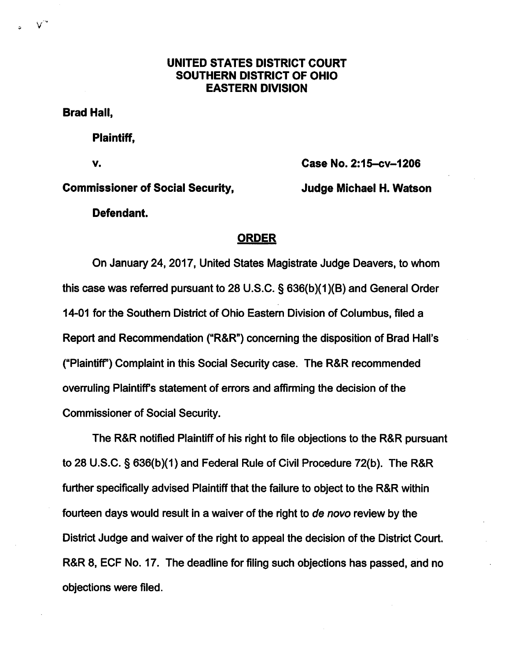## UNITED STATES DISTRICT COURT SOUTHERN DISTRICT OF OHIO EASTERN DIVISION

Brad Hall,

Plaintiff,

V. Case No. 2:15-cv-1206

## Commissioner of Social Security, Judge Michael H. Watson

Defendant.

## ORDER

On January 24,2017, United States Magistrate Judge Deavers, to whom this case was referred pursuant to 28 U.S.C. § 636(b)(1)(B) and Generai Order 14-01 for the Southem District of Ohio Eastern Division of Coiumbus, fiied a Report and Recommendation ("R&R") concerning the disposition of Brad Hall's ("PiaintifT) Compiaint in this Social Security case. The R&R recommended overruling Plaintiff's statement of errors and affirming the decision of the Commissioner of Sociai Security.

The R&R notified Piaintiff of his right to fiie objections to the R&R pursuant to 26 U.S.C. § 636(b)(1) and Federai Ruie of Civii Procedure 72(b). The R&R further specifically advised Plaintiff that the failure to object to the R&R within fourteen days wouid resuit in a waiver of the right to de novo review by the District Judge and waiver of the right to appeal the decision of the District Court. R&R 8, ECF No. 17. The deadiine for fiiing such objections has passed, and no objections were fiied.

V'\*